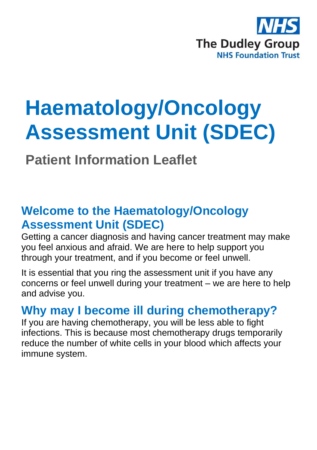

# **Haematology/Oncology Assessment Unit (SDEC)**

**Patient Information Leaflet**

# **Welcome to the Haematology/Oncology Assessment Unit (SDEC)**

Getting a cancer diagnosis and having cancer treatment may make you feel anxious and afraid. We are here to help support you through your treatment, and if you become or feel unwell.

It is essential that you ring the assessment unit if you have any concerns or feel unwell during your treatment – we are here to help and advise you.

## **Why may I become ill during chemotherapy?**

If you are having chemotherapy, you will be less able to fight infections. This is because most chemotherapy drugs temporarily reduce the number of white cells in your blood which affects your immune system.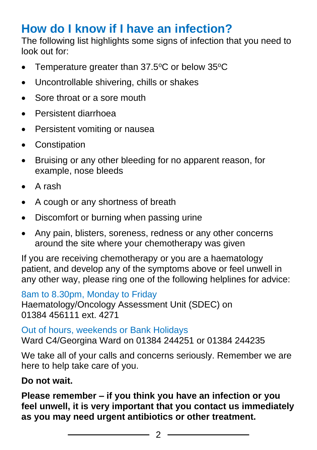# **How do I know if I have an infection?**

The following list highlights some signs of infection that you need to look out for:

- Temperature greater than  $37.5^{\circ}$ C or below  $35^{\circ}$ C
- Uncontrollable shivering, chills or shakes
- Sore throat or a sore mouth
- Persistent diarrhoea
- Persistent vomiting or nausea
- Constipation
- Bruising or any other bleeding for no apparent reason, for example, nose bleeds
- A rash
- A cough or any shortness of breath
- Discomfort or burning when passing urine
- Any pain, blisters, soreness, redness or any other concerns around the site where your chemotherapy was given

If you are receiving chemotherapy or you are a haematology patient, and develop any of the symptoms above or feel unwell in any other way, please ring one of the following helplines for advice:

8am to 8.30pm, Monday to Friday Haematology/Oncology Assessment Unit (SDEC) on 01384 456111 ext. 4271

Out of hours, weekends or Bank Holidays Ward C4/Georgina Ward on 01384 244251 or 01384 244235

We take all of your calls and concerns seriously. Remember we are here to help take care of you.

#### **Do not wait.**

**Please remember – if you think you have an infection or you feel unwell, it is very important that you contact us immediately as you may need urgent antibiotics or other treatment.**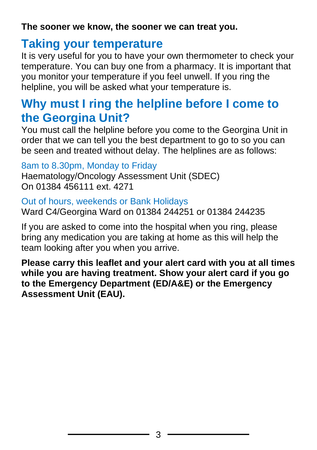**The sooner we know, the sooner we can treat you.**

### **Taking your temperature**

It is very useful for you to have your own thermometer to check your temperature. You can buy one from a pharmacy. It is important that you monitor your temperature if you feel unwell. If you ring the helpline, you will be asked what your temperature is.

# **Why must I ring the helpline before I come to the Georgina Unit?**

You must call the helpline before you come to the Georgina Unit in order that we can tell you the best department to go to so you can be seen and treated without delay. The helplines are as follows:

8am to 8.30pm, Monday to Friday

Haematology/Oncology Assessment Unit (SDEC) On 01384 456111 ext. 4271

Out of hours, weekends or Bank Holidays Ward C4/Georgina Ward on 01384 244251 or 01384 244235

If you are asked to come into the hospital when you ring, please bring any medication you are taking at home as this will help the team looking after you when you arrive.

**Please carry this leaflet and your alert card with you at all times while you are having treatment. Show your alert card if you go to the Emergency Department (ED/A&E) or the Emergency Assessment Unit (EAU).**